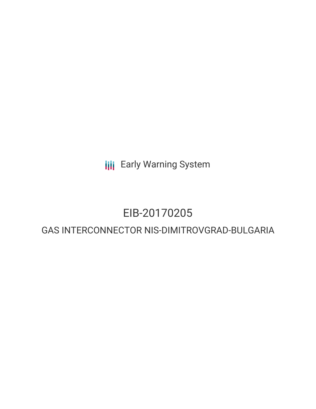**III** Early Warning System

## EIB-20170205

## GAS INTERCONNECTOR NIS-DIMITROVGRAD-BULGARIA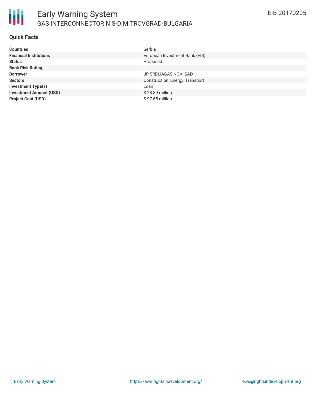

#### **Quick Facts**

| <b>Countries</b>               | Serbia                          |
|--------------------------------|---------------------------------|
| <b>Financial Institutions</b>  | European Investment Bank (EIB)  |
| <b>Status</b>                  | Proposed                        |
| <b>Bank Risk Rating</b>        | U                               |
| <b>Borrower</b>                | JP SRBIJAGAS NOVI SAD           |
| <b>Sectors</b>                 | Construction, Energy, Transport |
| <b>Investment Type(s)</b>      | Loan                            |
| <b>Investment Amount (USD)</b> | $$28.39$ million                |
| <b>Project Cost (USD)</b>      | $$97.65$ million                |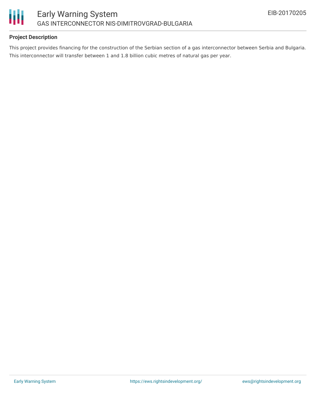

#### **Project Description**

This project provides financing for the construction of the Serbian section of a gas interconnector between Serbia and Bulgaria. This interconnector will transfer between 1 and 1.8 billion cubic metres of natural gas per year.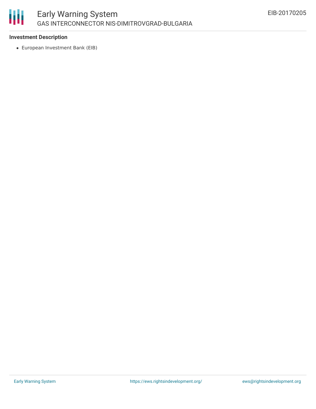

#### **Investment Description**

European Investment Bank (EIB)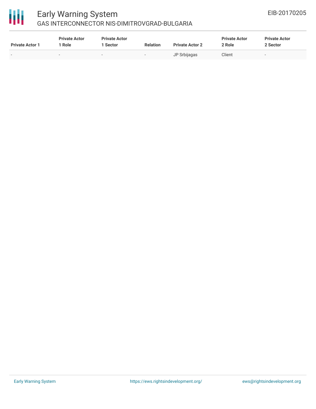# 冊

### Early Warning System GAS INTERCONNECTOR NIS-DIMITROVGRAD-BULGARIA

| <b>Private Actor 1</b> | <b>Private Actor</b><br>Role | <b>Private Actor</b><br>1 Sector | <b>Relation</b>          | <b>Private Actor 2</b> | <b>Private Actor</b><br>2 Role | <b>Private Actor</b><br>2 Sector |
|------------------------|------------------------------|----------------------------------|--------------------------|------------------------|--------------------------------|----------------------------------|
|                        | $\overline{\phantom{0}}$     | . .                              | $\overline{\phantom{a}}$ | JP Srbijagas           | Client                         | $\sim$                           |